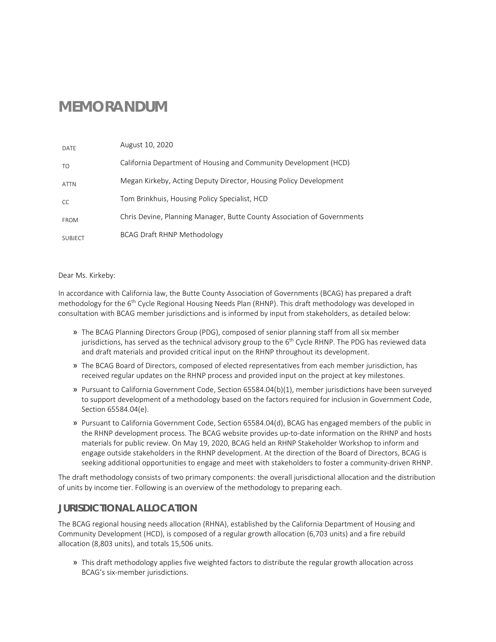# **MEMORANDUM**

| DATF           | August 10, 2020                                                         |
|----------------|-------------------------------------------------------------------------|
| TO.            | California Department of Housing and Community Development (HCD)        |
| <b>ATTN</b>    | Megan Kirkeby, Acting Deputy Director, Housing Policy Development       |
| CC.            | Tom Brinkhuis, Housing Policy Specialist, HCD                           |
| <b>FROM</b>    | Chris Devine, Planning Manager, Butte County Association of Governments |
| <b>SUBJECT</b> | BCAG Draft RHNP Methodology                                             |

#### Dear Ms. Kirkeby:

In accordance with California law, the Butte County Association of Governments (BCAG) has prepared a draft methodology for the  $6<sup>th</sup>$  Cycle Regional Housing Needs Plan (RHNP). This draft methodology was developed in consultation with BCAG member jurisdictions and is informed by input from stakeholders, as detailed below:

- » The BCAG Planning Directors Group (PDG), composed of senior planning staff from all six member jurisdictions, has served as the technical advisory group to the 6<sup>th</sup> Cycle RHNP. The PDG has reviewed data and draft materials and provided critical input on the RHNP throughout its development.
- » The BCAG Board of Directors, composed of elected representatives from each member jurisdiction, has received regular updates on the RHNP process and provided input on the project at key milestones.
- » Pursuant to California Government Code, Section 65584.04(b)(1), member jurisdictions have been surveyed to support development of a methodology based on the factors required for inclusion in Government Code, Section 65584.04(e).
- » Pursuant to California Government Code, Section 65584.04(d), BCAG has engaged members of the public in the RHNP development process. The BCAG website provides up-to-date information on the RHNP and hosts materials for public review. On May 19, 2020, BCAG held an RHNP Stakeholder Workshop to inform and engage outside stakeholders in the RHNP development. At the direction of the Board of Directors, BCAG is seeking additional opportunities to engage and meet with stakeholders to foster a community-driven RHNP.

The draft methodology consists of two primary components: the overall jurisdictional allocation and the distribution of units by income tier. Following is an overview of the methodology to preparing each.

### **JURISDICTIONAL ALLOCATION**

The BCAG regional housing needs allocation (RHNA), established by the California Department of Housing and Community Development (HCD), is composed of a regular growth allocation (6,703 units) and a fire rebuild allocation (8,803 units), and totals 15,506 units.

» This draft methodology applies five weighted factors to distribute the regular growth allocation across BCAG's six-member jurisdictions.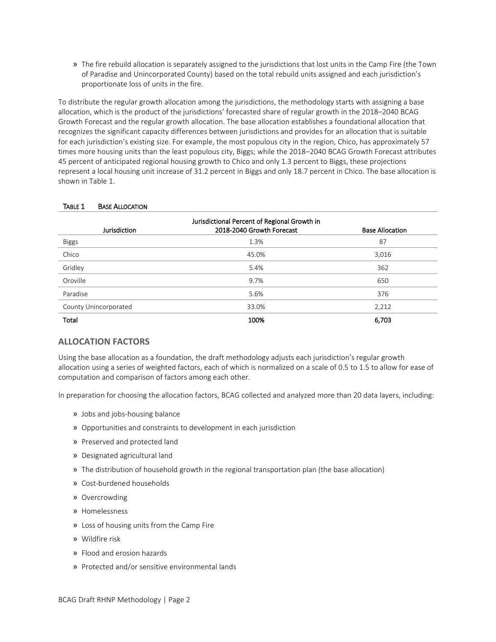» The fire rebuild allocation is separately assigned to the jurisdictions that lost units in the Camp Fire (the Town of Paradise and Unincorporated County) based on the total rebuild units assigned and each jurisdiction's proportionate loss of units in the fire.

To distribute the regular growth allocation among the jurisdictions, the methodology starts with assigning a base allocation, which is the product of the jurisdictions' forecasted share of regular growth in the 2018–2040 BCAG Growth Forecast and the regular growth allocation. The base allocation establishes a foundational allocation that recognizes the significant capacity differences between jurisdictions and provides for an allocation that is suitable for each jurisdiction's existing size. For example, the most populous city in the region, Chico, has approximately 57 times more housing units than the least populous city, Biggs; while the 2018–2040 BCAG Growth Forecast attributes 45 percent of anticipated regional housing growth to Chico and only 1.3 percent to Biggs, these projections represent a local housing unit increase of 31.2 percent in Biggs and only 18.7 percent in Chico. The base allocation is shown in Table 1.

| Jurisdictional Percent of Regional Growth in |                           |                        |  |  |  |  |  |  |  |
|----------------------------------------------|---------------------------|------------------------|--|--|--|--|--|--|--|
| <b>Jurisdiction</b>                          | 2018-2040 Growth Forecast | <b>Base Allocation</b> |  |  |  |  |  |  |  |
| <b>Biggs</b>                                 | 1.3%                      | 87                     |  |  |  |  |  |  |  |
| Chico                                        | 45.0%                     | 3,016                  |  |  |  |  |  |  |  |
| Gridley                                      | 5.4%                      | 362                    |  |  |  |  |  |  |  |
| Oroville                                     | 9.7%                      | 650                    |  |  |  |  |  |  |  |
| Paradise                                     | 5.6%                      | 376                    |  |  |  |  |  |  |  |
| County Unincorporated                        | 33.0%                     | 2,212                  |  |  |  |  |  |  |  |
| Total                                        | 100%                      | 6,703                  |  |  |  |  |  |  |  |

#### TABLE 1 BASE ALLOCATION

#### **ALLOCATION FACTORS**

Using the base allocation as a foundation, the draft methodology adjusts each jurisdiction's regular growth allocation using a series of weighted factors, each of which is normalized on a scale of 0.5 to 1.5 to allow for ease of computation and comparison of factors among each other.

In preparation for choosing the allocation factors, BCAG collected and analyzed more than 20 data layers, including:

- » Jobs and jobs-housing balance
- » Opportunities and constraints to development in each jurisdiction
- » Preserved and protected land
- » Designated agricultural land
- » The distribution of household growth in the regional transportation plan (the base allocation)
- » Cost-burdened households
- » Overcrowding
- » Homelessness
- » Loss of housing units from the Camp Fire
- » Wildfire risk
- » Flood and erosion hazards
- » Protected and/or sensitive environmental lands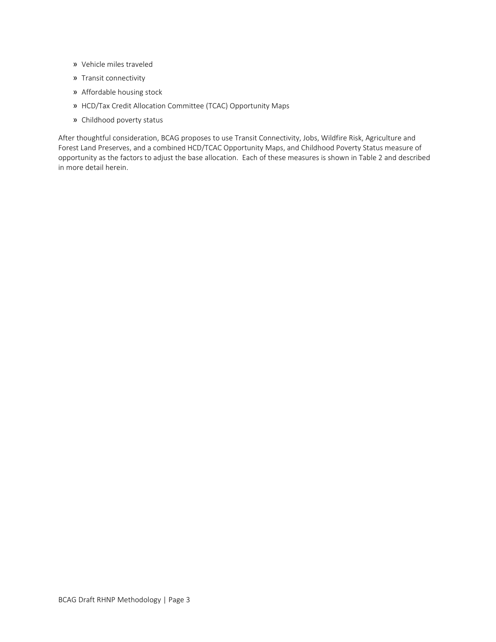- » Vehicle miles traveled
- » Transit connectivity
- » Affordable housing stock
- » HCD/Tax Credit Allocation Committee (TCAC) Opportunity Maps
- » Childhood poverty status

After thoughtful consideration, BCAG proposes to use Transit Connectivity, Jobs, Wildfire Risk, Agriculture and Forest Land Preserves, and a combined HCD/TCAC Opportunity Maps, and Childhood Poverty Status measure of opportunity as the factors to adjust the base allocation. Each of these measures is shown in Table 2 and described in more detail herein.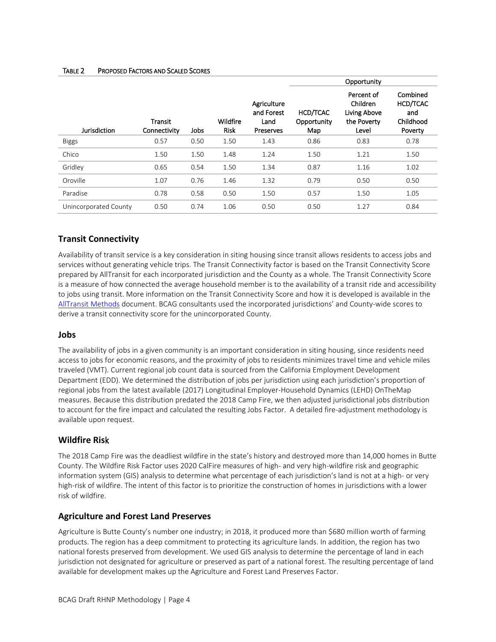|                       |                         |      |                         |                                                | Opportunity                    |                                                                |                                                     |  |  |
|-----------------------|-------------------------|------|-------------------------|------------------------------------------------|--------------------------------|----------------------------------------------------------------|-----------------------------------------------------|--|--|
| Jurisdiction          | Transit<br>Connectivity | Jobs | Wildfire<br><b>Risk</b> | Agriculture<br>and Forest<br>Land<br>Preserves | HCD/TCAC<br>Opportunity<br>Map | Percent of<br>Children<br>Living Above<br>the Poverty<br>Level | Combined<br>HCD/TCAC<br>and<br>Childhood<br>Poverty |  |  |
| <b>Biggs</b>          | 0.57                    | 0.50 | 1.50                    | 1.43                                           | 0.86                           | 0.83                                                           | 0.78                                                |  |  |
| Chico                 | 1.50                    | 1.50 | 1.48                    | 1.24                                           | 1.50                           | 1.21                                                           | 1.50                                                |  |  |
| Gridley               | 0.65                    | 0.54 | 1.50                    | 1.34                                           | 0.87                           | 1.16                                                           | 1.02                                                |  |  |
| Oroville              | 1.07                    | 0.76 | 1.46                    | 1.32                                           | 0.79                           | 0.50                                                           | 0.50                                                |  |  |
| Paradise              | 0.78                    | 0.58 | 0.50                    | 1.50                                           | 0.57                           | 1.50                                                           | 1.05                                                |  |  |
| Unincorporated County | 0.50                    | 0.74 | 1.06                    | 0.50                                           | 0.50                           | 1.27                                                           | 0.84                                                |  |  |

### TABLE 2 PROPOSED FACTORS AND SCALED SCORES

### **Transit Connectivity**

Availability of transit service is a key consideration in siting housing since transit allows residents to access jobs and services without generating vehicle trips. The Transit Connectivity factor is based on the Transit Connectivity Score prepared by AllTransit for each incorporated jurisdiction and the County as a whole. The Transit Connectivity Score is a measure of how connected the average household member is to the availability of a transit ride and accessibility to jobs using transit. More information on the Transit Connectivity Score and how it is developed is available in the [AllTransit Methods](https://alltransit.cnt.org/methods/AllTransit-Methods.pdf) document. BCAG consultants used the incorporated jurisdictions' and County-wide scores to derive a transit connectivity score for the unincorporated County.

### **Jobs**

The availability of jobs in a given community is an important consideration in siting housing, since residents need access to jobs for economic reasons, and the proximity of jobs to residents minimizes travel time and vehicle miles traveled (VMT). Current regional job count data is sourced from the California Employment Development Department (EDD). We determined the distribution of jobs per jurisdiction using each jurisdiction's proportion of regional jobs from the latest available (2017) Longitudinal Employer-Household Dynamics (LEHD) OnTheMap measures. Because this distribution predated the 2018 Camp Fire, we then adjusted jurisdictional jobs distribution to account for the fire impact and calculated the resulting Jobs Factor. A detailed fire-adjustment methodology is available upon request.

### **Wildfire Ris**k

The 2018 Camp Fire was the deadliest wildfire in the state's history and destroyed more than 14,000 homes in Butte County. The Wildfire Risk Factor uses 2020 CalFire measures of high- and very high-wildfire risk and geographic information system (GIS) analysis to determine what percentage of each jurisdiction's land is not at a high- or very high-risk of wildfire. The intent of this factor is to prioritize the construction of homes in jurisdictions with a lower risk of wildfire.

#### **Agriculture and Forest Land Preserves**

Agriculture is Butte County's number one industry; in 2018, it produced more than \$680 million worth of farming products. The region has a deep commitment to protecting its agriculture lands. In addition, the region has two national forests preserved from development. We used GIS analysis to determine the percentage of land in each jurisdiction not designated for agriculture or preserved as part of a national forest. The resulting percentage of land available for development makes up the Agriculture and Forest Land Preserves Factor.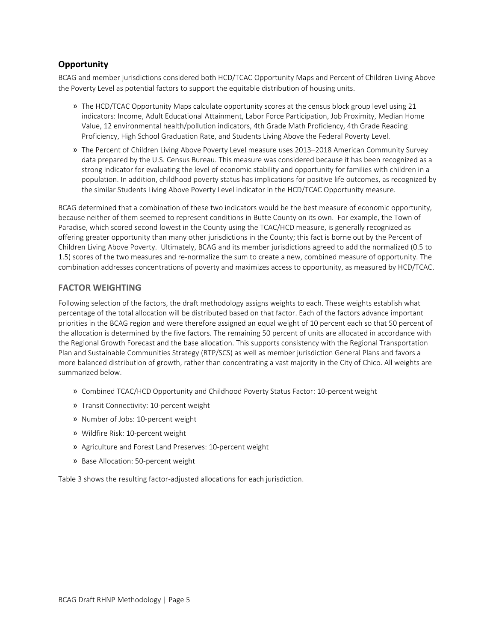### **Opportunity**

BCAG and member jurisdictions considered both HCD/TCAC Opportunity Maps and Percent of Children Living Above the Poverty Level as potential factors to support the equitable distribution of housing units.

- » The HCD/TCAC Opportunity Maps calculate opportunity scores at the census block group level using 21 indicators: Income, Adult Educational Attainment, Labor Force Participation, Job Proximity, Median Home Value, 12 environmental health/pollution indicators, 4th Grade Math Proficiency, 4th Grade Reading Proficiency, High School Graduation Rate, and Students Living Above the Federal Poverty Level.
- » The Percent of Children Living Above Poverty Level measure uses 2013–2018 American Community Survey data prepared by the U.S. Census Bureau. This measure was considered because it has been recognized as a strong indicator for evaluating the level of economic stability and opportunity for families with children in a population. In addition, childhood poverty status has implications for positive life outcomes, as recognized by the similar Students Living Above Poverty Level indicator in the HCD/TCAC Opportunity measure.

BCAG determined that a combination of these two indicators would be the best measure of economic opportunity, because neither of them seemed to represent conditions in Butte County on its own. For example, the Town of Paradise, which scored second lowest in the County using the TCAC/HCD measure, is generally recognized as offering greater opportunity than many other jurisdictions in the County; this fact is borne out by the Percent of Children Living Above Poverty. Ultimately, BCAG and its member jurisdictions agreed to add the normalized (0.5 to 1.5) scores of the two measures and re-normalize the sum to create a new, combined measure of opportunity. The combination addresses concentrations of poverty and maximizes access to opportunity, as measured by HCD/TCAC.

### **FACTOR WEIGHTING**

Following selection of the factors, the draft methodology assigns weights to each. These weights establish what percentage of the total allocation will be distributed based on that factor. Each of the factors advance important priorities in the BCAG region and were therefore assigned an equal weight of 10 percent each so that 50 percent of the allocation is determined by the five factors. The remaining 50 percent of units are allocated in accordance with the Regional Growth Forecast and the base allocation. This supports consistency with the Regional Transportation Plan and Sustainable Communities Strategy (RTP/SCS) as well as member jurisdiction General Plans and favors a more balanced distribution of growth, rather than concentrating a vast majority in the City of Chico. All weights are summarized below.

- » Combined TCAC/HCD Opportunity and Childhood Poverty Status Factor: 10-percent weight
- » Transit Connectivity: 10-percent weight
- » Number of Jobs: 10-percent weight
- » Wildfire Risk: 10-percent weight
- » Agriculture and Forest Land Preserves: 10-percent weight
- » Base Allocation: 50-percent weight

Table 3 shows the resulting factor-adjusted allocations for each jurisdiction.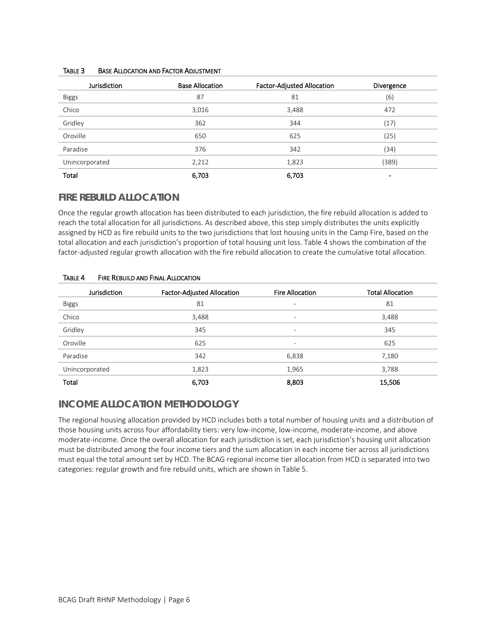| <b>Jurisdiction</b> | <b>Base Allocation</b> | <b>Factor-Adjusted Allocation</b> | Divergence     |
|---------------------|------------------------|-----------------------------------|----------------|
| <b>Biggs</b>        | 87                     | 81                                | (6)            |
| Chico               | 3,016                  | 3,488                             | 472            |
| Gridley             | 362                    | 344                               | (17)           |
| Oroville            | 650                    | 625                               | (25)           |
| Paradise            | 376                    | 342                               | (34)           |
| Unincorporated      | 2,212                  | 1,823                             | (389)          |
| Total               | 6,703                  | 6,703                             | $\blacksquare$ |

#### TABLE 3 BASE ALLOCATION AND FACTOR ADJUSTMENT

### **FIRE REBUILD ALLOCATION**

Once the regular growth allocation has been distributed to each jurisdiction, the fire rebuild allocation is added to reach the total allocation for all jurisdictions. As described above, this step simply distributes the units explicitly assigned by HCD as fire rebuild units to the two jurisdictions that lost housing units in the Camp Fire, based on the total allocation and each jurisdiction's proportion of total housing unit loss. Table 4 shows the combination of the factor-adjusted regular growth allocation with the fire rebuild allocation to create the cumulative total allocation.

| Jurisdiction   | <b>Factor-Adjusted Allocation</b> | <b>Fire Allocation</b>   | <b>Total Allocation</b> |
|----------------|-----------------------------------|--------------------------|-------------------------|
| <b>Biggs</b>   | 81                                | $\overline{\phantom{0}}$ | 81                      |
| Chico          | 3,488                             | $\overline{\phantom{0}}$ | 3,488                   |
| Gridley        | 345                               | $\overline{\phantom{0}}$ | 345                     |
| Oroville       | 625                               | $\overline{\phantom{0}}$ | 625                     |
| Paradise       | 342                               | 6,838                    | 7,180                   |
| Unincorporated | 1,823                             | 1,965                    | 3,788                   |
| Total          | 6,703                             | 8,803                    | 15,506                  |

### TABLE 4 FIRE REBUILD AND FINAL ALLOCATION

# **INCOME ALLOCATION METHODOLOGY**

The regional housing allocation provided by HCD includes both a total number of housing units and a distribution of those housing units across four affordability tiers: very low-income, low-income, moderate-income, and above moderate-income. Once the overall allocation for each jurisdiction is set, each jurisdiction's housing unit allocation must be distributed among the four income tiers and the sum allocation in each income tier across all jurisdictions must equal the total amount set by HCD. The BCAG regional income tier allocation from HCD is separated into two categories: regular growth and fire rebuild units, which are shown in Table 5.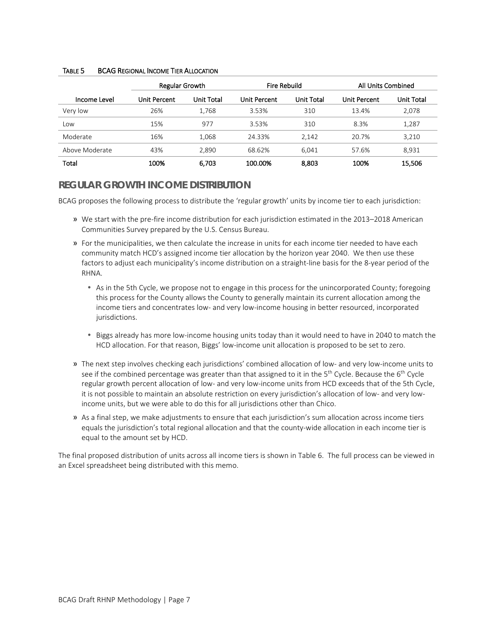|                | Regular Growth      |                   | Fire Rebuild |                   | All Units Combined  |            |  |
|----------------|---------------------|-------------------|--------------|-------------------|---------------------|------------|--|
| Income Level   | <b>Unit Percent</b> | <b>Unit Total</b> | Unit Percent | <b>Unit Total</b> | <b>Unit Percent</b> | Unit Total |  |
| Very low       | 26%                 | 1,768             | 3.53%        | 310               | 13.4%               | 2,078      |  |
| Low            | 15%                 | 977               | 3.53%        | 310               | 8.3%                | 1,287      |  |
| Moderate       | 16%                 | 1.068             | 24.33%       | 2.142             | 20.7%               | 3,210      |  |
| Above Moderate | 43%                 | 2.890             | 68.62%       | 6.041             | 57.6%               | 8,931      |  |
| Total          | 100%                | 6,703             | 100.00%      | 8.803             | 100%                | 15,506     |  |

#### TABLE 5 BCAG REGIONAL INCOME TIER ALLOCATION

# **REGULAR GROWTH INCOME DISTRIBUTION**

BCAG proposes the following process to distribute the 'regular growth' units by income tier to each jurisdiction:

- » We start with the pre-fire income distribution for each jurisdiction estimated in the 2013–2018 American Communities Survey prepared by the U.S. Census Bureau.
- » For the municipalities, we then calculate the increase in units for each income tier needed to have each community match HCD's assigned income tier allocation by the horizon year 2040. We then use these factors to adjust each municipality's income distribution on a straight-line basis for the 8-year period of the RHNA.
	- As in the 5th Cycle, we propose not to engage in this process for the unincorporated County; foregoing this process for the County allows the County to generally maintain its current allocation among the income tiers and concentrates low- and very low-income housing in better resourced, incorporated jurisdictions.
	- Biggs already has more low-income housing units today than it would need to have in 2040 to match the HCD allocation. For that reason, Biggs' low-income unit allocation is proposed to be set to zero.
- » The next step involves checking each jurisdictions' combined allocation of low- and very low-income units to see if the combined percentage was greater than that assigned to it in the 5<sup>th</sup> Cycle. Because the 6<sup>th</sup> Cycle regular growth percent allocation of low- and very low-income units from HCD exceeds that of the 5th Cycle, it is not possible to maintain an absolute restriction on every jurisdiction's allocation of low- and very lowincome units, but we were able to do this for all jurisdictions other than Chico.
- » As a final step, we make adjustments to ensure that each jurisdiction's sum allocation across income tiers equals the jurisdiction's total regional allocation and that the county-wide allocation in each income tier is equal to the amount set by HCD.

The final proposed distribution of units across all income tiers is shown in Table 6. The full process can be viewed in an Excel spreadsheet being distributed with this memo.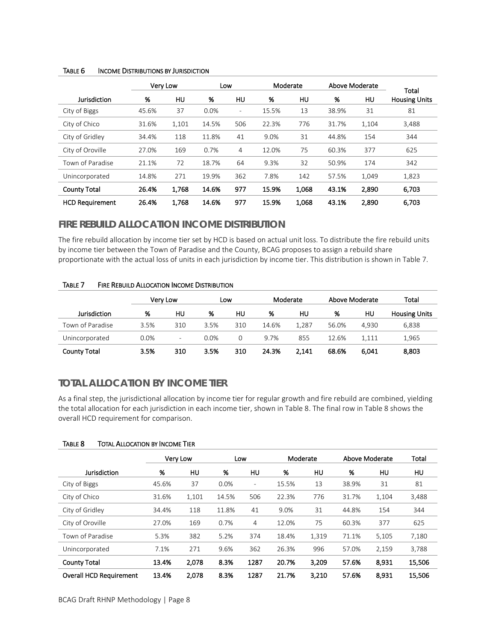|                        |       | Very Low | Low   |                          | Moderate |       | Above Moderate |       | Total                |  |
|------------------------|-------|----------|-------|--------------------------|----------|-------|----------------|-------|----------------------|--|
| Jurisdiction           | %     | HU       | %     | HU                       | %        | HU    | %              | HU.   | <b>Housing Units</b> |  |
| City of Biggs          | 45.6% | 37       | 0.0%  | $\overline{\phantom{a}}$ | 15.5%    | 13    | 38.9%          | 31    | 81                   |  |
| City of Chico          | 31.6% | 1,101    | 14.5% | 506                      | 22.3%    | 776   | 31.7%          | 1,104 | 3,488                |  |
| City of Gridley        | 34.4% | 118      | 11.8% | 41                       | 9.0%     | 31    | 44.8%          | 154   | 344                  |  |
| City of Oroville       | 27.0% | 169      | 0.7%  | 4                        | 12.0%    | 75    | 60.3%          | 377   | 625                  |  |
| Town of Paradise       | 21.1% | 72       | 18.7% | 64                       | 9.3%     | 32    | 50.9%          | 174   | 342                  |  |
| Unincorporated         | 14.8% | 271      | 19.9% | 362                      | 7.8%     | 142   | 57.5%          | 1,049 | 1,823                |  |
| <b>County Total</b>    | 26.4% | 1,768    | 14.6% | 977                      | 15.9%    | 1,068 | 43.1%          | 2,890 | 6,703                |  |
| <b>HCD Requirement</b> | 26.4% | 1.768    | 14.6% | 977                      | 15.9%    | 1.068 | 43.1%          | 2.890 | 6.703                |  |

#### TABLE 6 INCOME DISTRIBUTIONS BY JURISDICTION

# **FIRE REBUILD ALLOCATION INCOME DISTRIBUTION**

The fire rebuild allocation by income tier set by HCD is based on actual unit loss. To distribute the fire rebuild units by income tier between the Town of Paradise and the County, BCAG proposes to assign a rebuild share proportionate with the actual loss of units in each jurisdiction by income tier. This distribution is shown in Table 7.

#### TABLE 7 FIRE REBUILD ALLOCATION INCOME DISTRIBUTION

|                     | Very Low |     |      | Low |       | Moderate |       | Above Moderate | Total                |
|---------------------|----------|-----|------|-----|-------|----------|-------|----------------|----------------------|
| <b>Jurisdiction</b> | %        | нu  | %    | нu  | %     | нu       | %     | нu             | <b>Housing Units</b> |
| Town of Paradise    | 3.5%     | 310 | 3.5% | 310 | 14.6% | 1.287    | 56.0% | 4.930          | 6.838                |
| Unincorporated      | 0.0%     | -   | 0.0% | 0   | 9.7%  | 855      | 12.6% | 1.111          | 1.965                |
| <b>County Total</b> | 3.5%     | 310 | 3.5% | 310 | 24.3% | 2.141    | 68.6% | 6.041          | 8,803                |

# **TOTAL ALLOCATION BY INCOME TIER**

As a final step, the jurisdictional allocation by income tier for regular growth and fire rebuild are combined, yielding the total allocation for each jurisdiction in each income tier, shown in Table 8. The final row in Table 8 shows the overall HCD requirement for comparison.

#### TABLE 8 TOTAL ALLOCATION BY INCOME TIER

|                                |       | Very Low |       | Low                      | Moderate |       |       | Above Moderate | Total  |
|--------------------------------|-------|----------|-------|--------------------------|----------|-------|-------|----------------|--------|
| Jurisdiction                   | %     | HU       | %     | HU                       | %        | HU    | %     | HU             | HU     |
| City of Biggs                  | 45.6% | 37       | 0.0%  | $\overline{\phantom{0}}$ | 15.5%    | 13    | 38.9% | 31             | 81     |
| City of Chico                  | 31.6% | 1,101    | 14.5% | 506                      | 22.3%    | 776   | 31.7% | 1,104          | 3,488  |
| City of Gridley                | 34.4% | 118      | 11.8% | 41                       | 9.0%     | 31    | 44.8% | 154            | 344    |
| City of Oroville               | 27.0% | 169      | 0.7%  | 4                        | 12.0%    | 75    | 60.3% | 377            | 625    |
| Town of Paradise               | 5.3%  | 382      | 5.2%  | 374                      | 18.4%    | 1,319 | 71.1% | 5,105          | 7,180  |
| Unincorporated                 | 7.1%  | 271      | 9.6%  | 362                      | 26.3%    | 996   | 57.0% | 2,159          | 3,788  |
| <b>County Total</b>            | 13.4% | 2,078    | 8.3%  | 1287                     | 20.7%    | 3.209 | 57.6% | 8,931          | 15,506 |
| <b>Overall HCD Requirement</b> | 13.4% | 2,078    | 8.3%  | 1287                     | 21.7%    | 3,210 | 57.6% | 8.931          | 15,506 |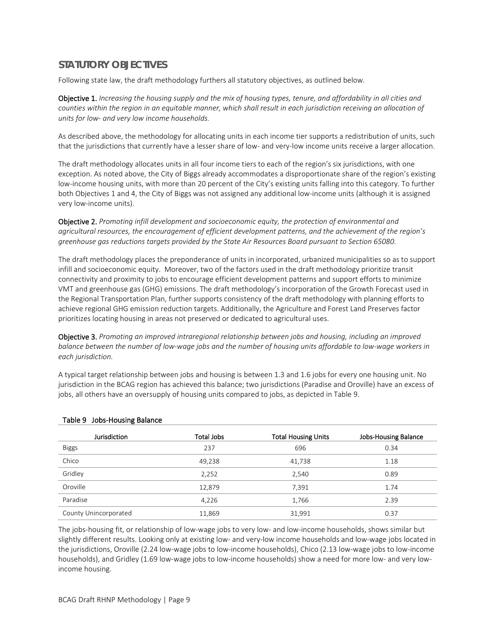# **STATUTORY OBJECTIVES**

Following state law, the draft methodology furthers all statutory objectives, as outlined below.

Objective 1. *Increasing the housing supply and the mix of housing types, tenure, and affordability in all cities and counties within the region in an equitable manner, which shall result in each jurisdiction receiving an allocation of units for low- and very low income households.*

As described above, the methodology for allocating units in each income tier supports a redistribution of units, such that the jurisdictions that currently have a lesser share of low- and very-low income units receive a larger allocation.

The draft methodology allocates units in all four income tiers to each of the region's six jurisdictions, with one exception. As noted above, the City of Biggs already accommodates a disproportionate share of the region's existing low-income housing units, with more than 20 percent of the City's existing units falling into this category. To further both Objectives 1 and 4, the City of Biggs was not assigned any additional low-income units (although it is assigned very low-income units).

Objective 2. *Promoting infill development and socioeconomic equity, the protection of environmental and agricultural resources, the encouragement of efficient development patterns, and the achievement of the region's greenhouse gas reductions targets provided by the State Air Resources Board pursuant to Section 65080.*

The draft methodology places the preponderance of units in incorporated, urbanized municipalities so as to support infill and socioeconomic equity. Moreover, two of the factors used in the draft methodology prioritize transit connectivity and proximity to jobs to encourage efficient development patterns and support efforts to minimize VMT and greenhouse gas (GHG) emissions. The draft methodology's incorporation of the Growth Forecast used in the Regional Transportation Plan, further supports consistency of the draft methodology with planning efforts to achieve regional GHG emission reduction targets. Additionally, the Agriculture and Forest Land Preserves factor prioritizes locating housing in areas not preserved or dedicated to agricultural uses.

Objective 3. *Promoting an improved intraregional relationship between jobs and housing, including an improved balance between the number of low-wage jobs and the number of housing units affordable to low-wage workers in each jurisdiction.*

A typical target relationship between jobs and housing is between 1.3 and 1.6 jobs for every one housing unit. No jurisdiction in the BCAG region has achieved this balance; two jurisdictions (Paradise and Oroville) have an excess of jobs, all others have an oversupply of housing units compared to jobs, as depicted in Table 9.

| <b>Jurisdiction</b>   | Total Jobs | <b>Total Housing Units</b> | <b>Jobs-Housing Balance</b> |
|-----------------------|------------|----------------------------|-----------------------------|
| <b>Biggs</b>          | 237        | 696                        | 0.34                        |
| Chico                 | 49,238     | 41,738                     | 1.18                        |
| Gridley               | 2,252      | 2,540                      | 0.89                        |
| Oroville              | 12,879     | 7,391                      | 1.74                        |
| Paradise              | 4,226      | 1,766                      | 2.39                        |
| County Unincorporated | 11,869     | 31,991                     | 0.37                        |

#### Table 9 Jobs-Housing Balance

The jobs-housing fit, or relationship of low-wage jobs to very low- and low-income households, shows similar but slightly different results. Looking only at existing low- and very-low income households and low-wage jobs located in the jurisdictions, Oroville (2.24 low-wage jobs to low-income households), Chico (2.13 low-wage jobs to low-income households), and Gridley (1.69 low-wage jobs to low-income households) show a need for more low- and very lowincome housing.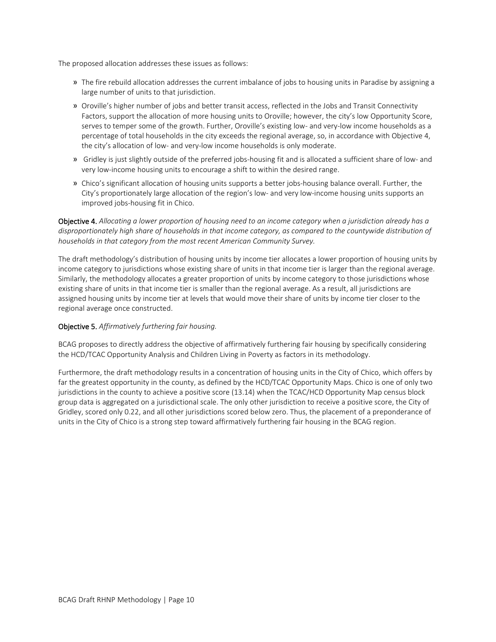The proposed allocation addresses these issues as follows:

- » The fire rebuild allocation addresses the current imbalance of jobs to housing units in Paradise by assigning a large number of units to that jurisdiction.
- » Oroville's higher number of jobs and better transit access, reflected in the Jobs and Transit Connectivity Factors, support the allocation of more housing units to Oroville; however, the city's low Opportunity Score, serves to temper some of the growth. Further, Oroville's existing low- and very-low income households as a percentage of total households in the city exceeds the regional average, so, in accordance with Objective 4, the city's allocation of low- and very-low income households is only moderate.
- » Gridley is just slightly outside of the preferred jobs-housing fit and is allocated a sufficient share of low- and very low-income housing units to encourage a shift to within the desired range.
- » Chico's significant allocation of housing units supports a better jobs-housing balance overall. Further, the City's proportionately large allocation of the region's low- and very low-income housing units supports an improved jobs-housing fit in Chico.

Objective 4. *Allocating a lower proportion of housing need to an income category when a jurisdiction already has a disproportionately high share of households in that income category, as compared to the countywide distribution of households in that category from the most recent American Community Survey.*

The draft methodology's distribution of housing units by income tier allocates a lower proportion of housing units by income category to jurisdictions whose existing share of units in that income tier is larger than the regional average. Similarly, the methodology allocates a greater proportion of units by income category to those jurisdictions whose existing share of units in that income tier is smaller than the regional average. As a result, all jurisdictions are assigned housing units by income tier at levels that would move their share of units by income tier closer to the regional average once constructed.

#### Objective 5. *Affirmatively furthering fair housing.*

BCAG proposes to directly address the objective of affirmatively furthering fair housing by specifically considering the HCD/TCAC Opportunity Analysis and Children Living in Poverty as factors in its methodology.

Furthermore, the draft methodology results in a concentration of housing units in the City of Chico, which offers by far the greatest opportunity in the county, as defined by the HCD/TCAC Opportunity Maps. Chico is one of only two jurisdictions in the county to achieve a positive score (13.14) when the TCAC/HCD Opportunity Map census block group data is aggregated on a jurisdictional scale. The only other jurisdiction to receive a positive score, the City of Gridley, scored only 0.22, and all other jurisdictions scored below zero. Thus, the placement of a preponderance of units in the City of Chico is a strong step toward affirmatively furthering fair housing in the BCAG region.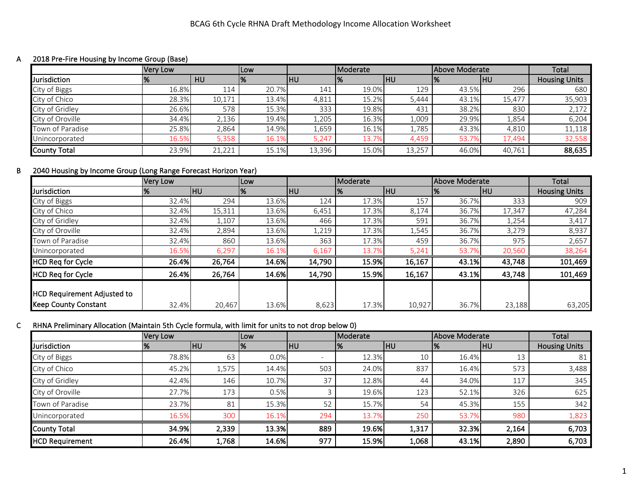### A 2018 Pre-Fire Housing by Income Group (Base)

|                     | <b>Very Low</b> |           | <b>ILow</b> |            | Moderate |        | Above Moderate |            | <b>Total</b>         |
|---------------------|-----------------|-----------|-------------|------------|----------|--------|----------------|------------|----------------------|
| Jurisdiction        |                 | <b>HU</b> | %           | <b>IHU</b> |          | IHU    | 1%             | <b>IHU</b> | <b>Housing Units</b> |
| City of Biggs       | 16.8%           | 114       | 20.7%       | 141        | 19.0%    | 129    | 43.5%          | 296        | 680                  |
| City of Chico       | 28.3%           | 10,171    | 13.4%       | 4,811      | 15.2%    | 5,444  | 43.1%          | 15,477     | 35,903               |
| City of Gridley     | 26.6%           | 578       | 15.3%       | 333        | 19.8%    | 431    | 38.2%          | 830        | 2,172                |
| City of Oroville    | 34.4%           | 2,136     | 19.4%       | 1,205      | 16.3%    | 009,   | 29.9%          | 1,854      | 6,204                |
| Town of Paradise    | 25.8%           | 2,864     | 14.9%       | 559,       | 16.1%    | 1,785  | 43.3%          | 4,810      | 11,118               |
| Unincorporated      | 16.5%           | 5,358     | 16.1%       | 5,247      | 13.7%    | 4,459  | 53.7%          | 17,494     | 32,558               |
| <b>County Total</b> | 23.9%           | 21,221    | 15.1%       | 13,396     | 15.0%    | 13,257 | 46.0%          | 40,761     | 88,635               |

# B 2040 Housing by Income Group (Long Range Forecast Horizon Year)

|                                                                   | <b>Very Low</b> |        | Low   |            | Moderate |        | Above Moderate |            | Total                |
|-------------------------------------------------------------------|-----------------|--------|-------|------------|----------|--------|----------------|------------|----------------------|
| Jurisdiction                                                      | l%              | IHU    | 1%    | <b>IHU</b> | '%       | IHU.   | 1%             | <b>IHU</b> | <b>Housing Units</b> |
| City of Biggs                                                     | 32.4%           | 294    | 13.6% | 124        | 17.3%    | 157    | 36.7%          | 333        | 909                  |
| City of Chico                                                     | 32.4%           | 15,311 | 13.6% | 6,451      | 17.3%    | 8,174  | 36.7%          | 17,347     | 47,284               |
| City of Gridley                                                   | 32.4%           | 1,107  | 13.6% | 466        | 17.3%    | 591    | 36.7%          | 1,254      | 3,417                |
| City of Oroville                                                  | 32.4%           | 2,894  | 13.6% | 1,219      | 17.3%    | 1,545  | 36.7%          | 3,279      | 8,937                |
| Town of Paradise                                                  | 32.4%           | 860    | 13.6% | 363        | 17.3%    | 459    | 36.7%          | 975        | 2,657                |
| Unincorporated                                                    | 16.5%           | 6,297  | 16.1% | 6,167      | 13.7%    | 5,241  | 53.7%          | 20,560     | 38,264               |
| <b>HCD Req for Cycle</b>                                          | 26.4%           | 26,764 | 14.6% | 14,790     | 15.9%    | 16,167 | 43.1%          | 43,748     | 101,469              |
| <b>HCD Reg for Cycle</b>                                          | 26.4%           | 26,764 | 14.6% | 14,790     | 15.9%    | 16,167 | 43.1%          | 43,748     | 101,469              |
| <b>HCD Requirement Adjusted to</b><br><b>Keep County Constant</b> | 32.4%           |        |       |            |          |        | 36.7%          |            |                      |
|                                                                   |                 | 20,467 | 13.6% | 8,623      | 17.3%    | 10,927 |                | 23,188     | 63,205               |

# C RHNA Preliminary Allocation (Maintain 5th Cycle formula, with limit for units to not drop below 0)

|                        | Very Low |           | <b>ILow</b>   |     | Moderate |           | Above Moderate |            | Total                |
|------------------------|----------|-----------|---------------|-----|----------|-----------|----------------|------------|----------------------|
| Jurisdiction           | %        | <b>HU</b> | $\frac{9}{6}$ | IHU | l 70     | <b>HU</b> | 70             | <b>IHU</b> | <b>Housing Units</b> |
| City of Biggs          | 78.8%    | 63        | 0.0%          |     | 12.3%    | 10        | 16.4%          | 13         | 81                   |
| City of Chico          | 45.2%    | 1,575     | 14.4%         | 503 | 24.0%    | 837       | 16.4%          | 573        | 3,488                |
| City of Gridley        | 42.4%    | 146       | 10.7%         | 37  | 12.8%    | 44        | 34.0%          | 117        | 345                  |
| City of Oroville       | 27.7%    | 173       | 0.5%          |     | 19.6%    | 123       | 52.1%          | 326        | 625                  |
| Town of Paradise       | 23.7%    | 81        | 15.3%         | 52  | 15.7%    | 54        | 45.3%          | 155        | 342                  |
| Unincorporated         | 16.5%    | 300       | 16.1%         | 294 | 13.7%    | 250       | 53.7%          | 980        | 1,823                |
| County Total           | 34.9%    | 2,339     | 13.3%         | 889 | 19.6%    | 1,317     | 32.3%          | 2,164      | 6,703                |
| <b>HCD Requirement</b> | 26.4%    | 1,768     | 14.6%         | 977 | 15.9%    | 1,068     | 43.1%          | 2,890      | 6,703                |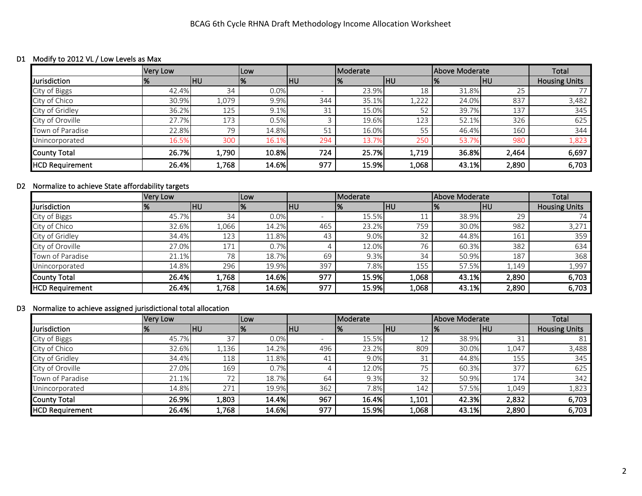#### D1 Modify to 2012 VL / Low Levels as Max

|                        | <b>Very Low</b> |           | Low   |            | Moderate |            | Above Moderate |            | Total                |
|------------------------|-----------------|-----------|-------|------------|----------|------------|----------------|------------|----------------------|
| Jurisdiction           | l%              | <b>HU</b> | %     | <b>IHU</b> |          | <b>IHU</b> | 1%             | <b>IHU</b> | <b>Housing Units</b> |
| City of Biggs          | 42.4%           | 34        | 0.0%  |            | 23.9%    | 18         | 31.8%          | 25         |                      |
| City of Chico          | 30.9%           | 1,079     | 9.9%  | 344        | 35.1%    | 1,222      | 24.0%          | 837        | 3,482                |
| City of Gridley        | 36.2%           | 125       | 9.1%  | 31         | 15.0%    | 52         | 39.7%          | 137        | 345                  |
| City of Oroville       | 27.7%           | 173       | 0.5%  |            | 19.6%    | 123        | 52.1%          | 326        | 625                  |
| Town of Paradise       | 22.8%           | 79        | 14.8% | 51         | 16.0%    | 55         | 46.4%          | 160        | 344                  |
| Unincorporated         | 16.5%           | 300       | 16.1% | 294        | 13.7%    | 250        | 53.7%          | 980        | 1,823                |
| County Total           | 26.7%           | 1,790     | 10.8% | 724        | 25.7%    | 1,719      | 36.8%          | 2,464      | 6,697                |
| <b>HCD Requirement</b> | 26.4%           | 1,768     | 14.6% | 977        | 15.9%    | 1,068      | 43.1%          | 2,890      | 6,703                |

### D2 Normalize to achieve State affordability targets

|                        | Very Low |       | ILow  |            | Moderate |         | Above Moderate |       | Total                |
|------------------------|----------|-------|-------|------------|----------|---------|----------------|-------|----------------------|
| Jurisdiction           |          | IHU   | %     | <b>IHU</b> |          | lhu     | 1%             | HU    | <b>Housing Units</b> |
| City of Biggs          | 45.7%    | 34    | 0.0%  |            | 15.5%    | 11<br>ᅩ | 38.9%          | 29    | 74                   |
| City of Chico          | 32.6%    | ,066  | 14.2% | 465        | 23.2%    | 759     | 30.0%          | 982   | 3,271                |
| City of Gridley        | 34.4%    | 123   | 11.8% | 43         | 9.0%     | 32      | 44.8%          | 161   | 359                  |
| City of Oroville       | 27.0%    | 171   | 0.7%  |            | 12.0%    | 76      | 60.3%          | 382   | 634                  |
| Town of Paradise       | 21.1%    | 78    | 18.7% | 69         | 9.3%     | 34      | 50.9%          | 187   | 368                  |
| Unincorporated         | 14.8%    | 296   | 19.9% | 397        | 7.8%     | 155     | 57.5%          | 1,149 | 1,997                |
| <b>County Total</b>    | 26.4%    | 1,768 | 14.6% | 977        | 15.9%    | 1,068   | 43.1%          | 2,890 | 6,703                |
| <b>HCD Requirement</b> | 26.4%    | 1,768 | 14.6% | 977        | 15.9%    | 1,068   | 43.1%          | 2,890 | 6,703                |

### D3 Normalize to achieve assigned jurisdictional total allocation

|                        | <b>Very Low</b> |       | <b>Low</b> |     | Moderate |            | Above Moderate |            | Total                |
|------------------------|-----------------|-------|------------|-----|----------|------------|----------------|------------|----------------------|
| <b>Jurisdiction</b>    | 1%              | HU    | ℅          | IHU |          | <b>IHU</b> | 1%             | <b>IHU</b> | <b>Housing Units</b> |
| City of Biggs          | 45.7%           | 37    | 0.0%       |     | 15.5%    | 12         | 38.9%          | 31         | 81                   |
| City of Chico          | 32.6%           | 1,136 | 14.2%      | 496 | 23.2%    | 809        | 30.0%          | 1,047      | 3,488                |
| City of Gridley        | 34.4%           | 118   | 11.8%      | 41  | 9.0%     | 31         | 44.8%          | 155        | 345                  |
| City of Oroville       | 27.0%           | 169   | 0.7%       |     | 12.0%    | 75         | 60.3%          | 377        | 625                  |
| Town of Paradise       | 21.1%           | フつ    | 18.7%      | 64  | 9.3%     | 32         | 50.9%          | 174        | 342                  |
| Unincorporated         | 14.8%           | 271   | 19.9%      | 362 | 7.8%     | 142        | 57.5%          | 1,049      | 1,823                |
| County Total           | 26.9%           | 1,803 | 14.4%      | 967 | 16.4%    | 1,101      | 42.3%          | 2,832      | 6,703                |
| <b>HCD</b> Requirement | 26.4%           | 1,768 | 14.6%      | 977 | 15.9%    | 1,068      | 43.1%          | 2,890      | 6,703                |